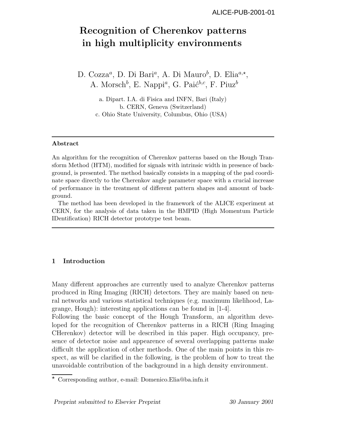# **Recognition of Cherenkov patterns in high multiplicity environments**

D. Cozza<sup>a</sup>, D. Di Bari<sup>a</sup>, A. Di Mauro<sup>b</sup>, D. Elia<sup>a,\*</sup>, A. Morsch<sup>b</sup>, E. Nappi<sup>a</sup>, G. Paić<sup>b,c</sup>, F. Piuz<sup>b</sup>

> a. Dipart. I.A. di Fisica and INFN, Bari (Italy) b. CERN, Geneva (Switzerland) c. Ohio State University, Columbus, Ohio (USA)

## **Abstract**

An algorithm for the recognition of Cherenkov patterns based on the Hough Transform Method (HTM), modified for signals with intrinsic width in presence of background, is presented. The method basically consists in a mapping of the pad coordinate space directly to the Cherenkov angle parameter space with a crucial increase of performance in the treatment of different pattern shapes and amount of background.

The method has been developed in the framework of the ALICE experiment at CERN, for the analysis of data taken in the HMPID (High Momentum Particle IDentification) RICH detector prototype test beam.

## **1 Introduction**

Many different approaches are currently used to analyze Cherenkov patterns produced in Ring Imaging (RICH) detectors. They are mainly based on neural networks and various statistical techniques (e.g. maximum likelihood, Lagrange, Hough): interesting applications can be found in [1-4].

Following the basic concept of the Hough Transform, an algorithm developed for the recognition of Cherenkov patterns in a RICH (Ring Imaging CHerenkov) detector will be described in this paper. High occupancy, presence of detector noise and appearence of several overlapping patterns make difficult the application of other methods. One of the main points in this respect, as will be clarified in the following, is the problem of how to treat the unavoidable contribution of the background in a high density environment.

Corresponding author, e-mail: Domenico.Elia@ba.infn.it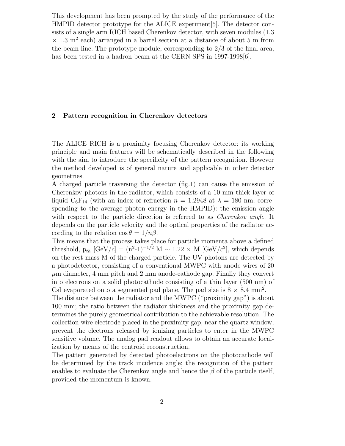This development has been prompted by the study of the performance of the HMPID detector prototype for the ALICE experiment[5]. The detector consists of a single arm RICH based Cherenkov detector, with seven modules  $(1.3)$  $\times$  1.3 m<sup>2</sup> each) arranged in a barrel section at a distance of about 5 m from the beam line. The prototype module, corresponding to  $2/3$  of the final area, has been tested in a hadron beam at the CERN SPS in 1997-1998[6].

#### **2 Pattern recognition in Cherenkov detectors**

The ALICE RICH is a proximity focusing Cherenkov detector: its working principle and main features will be schematically described in the following with the aim to introduce the specificity of the pattern recognition. However the method developed is of general nature and applicable in other detector geometries.

A charged particle traversing the detector (fig.1) can cause the emission of Cherenkov photons in the radiator, which consists of a 10 mm thick layer of liquid  $C_6F_{14}$  (with an index of refraction  $n = 1.2948$  at  $\lambda = 180$  nm, corresponding to the average photon energy in the HMPID): the emission angle with respect to the particle direction is referred to as *Cherenkov angle*. It depends on the particle velocity and the optical properties of the radiator according to the relation  $\cos \theta = 1/n\beta$ .

This means that the process takes place for particle momenta above a defined threshold,  $p_{th}$  [GeV/c] =  $(n^2-1)^{-1/2}$  M ~ 1.22 × M [GeV/c<sup>2</sup>], which depends on the rest mass M of the charged particle. The UV photons are detected by a photodetector, consisting of a conventional MWPC with anode wires of 20  $\mu$ m diameter, 4 mm pitch and 2 mm anode-cathode gap. Finally they convert into electrons on a solid photocathode consisting of a thin layer (500 nm) of CsI evaporated onto a segmented pad plane. The pad size is  $8 \times 8.4$  mm<sup>2</sup>.

The distance between the radiator and the MWPC ("proximity gap") is about 100 mm; the ratio between the radiator thickness and the proximity gap determines the purely geometrical contribution to the achievable resolution. The collection wire electrode placed in the proximity gap, near the quartz window, prevent the electrons released by ionizing particles to enter in the MWPC sensitive volume. The analog pad readout allows to obtain an accurate localization by means of the centroid reconstruction.

The pattern generated by detected photoelectrons on the photocathode will be determined by the track incidence angle; the recognition of the pattern enables to evaluate the Cherenkov angle and hence the  $\beta$  of the particle itself, provided the momentum is known.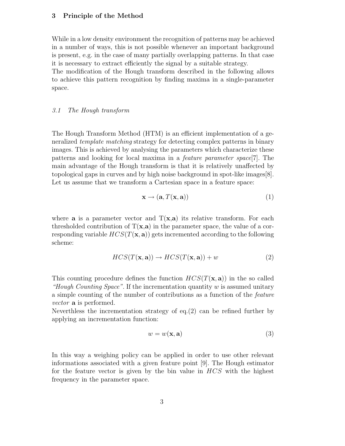#### **3 Principle of the Method**

While in a low density environment the recognition of patterns may be achieved in a number of ways, this is not possible whenever an important background is present, e.g. in the case of many partially overlapping patterns. In that case it is necessary to extract efficiently the signal by a suitable strategy.

The modification of the Hough transform described in the following allows to achieve this pattern recognition by finding maxima in a single-parameter space.

#### 3.1 The Hough transform

The Hough Transform Method (HTM) is an efficient implementation of a generalized template matching strategy for detecting complex patterns in binary images. This is achieved by analysing the parameters which characterize these patterns and looking for local maxima in a feature parameter space[7]. The main advantage of the Hough transform is that it is relatively unaffected by topological gaps in curves and by high noise background in spot-like images[8]. Let us assume that we transform a Cartesian space in a feature space:

$$
\mathbf{x} \to (\mathbf{a}, T(\mathbf{x}, \mathbf{a})) \tag{1}
$$

where **a** is a parameter vector and  $T(x,a)$  its relative transform. For each thresholded contribution of  $T(x,a)$  in the parameter space, the value of a corresponding variable  $HCS(T(\mathbf{x}, \mathbf{a}))$  gets incremented according to the following scheme:

$$
HCS(T(\mathbf{x}, \mathbf{a})) \to HCS(T(\mathbf{x}, \mathbf{a})) + w \tag{2}
$$

This counting procedure defines the function  $HCS(T(\mathbf{x}, \mathbf{a}))$  in the so called "Hough Counting Space". If the incrementation quantity  $w$  is assumed unitary a simple counting of the number of contributions as a function of the feature vector **a** is performed.

Neverthless the incrementation strategy of eq.(2) can be refined further by applying an incrementation function:

$$
w = w(\mathbf{x}, \mathbf{a})\tag{3}
$$

In this way a weighing policy can be applied in order to use other relevant informations associated with a given feature point [9]. The Hough estimator for the feature vector is given by the bin value in HCS with the highest frequency in the parameter space.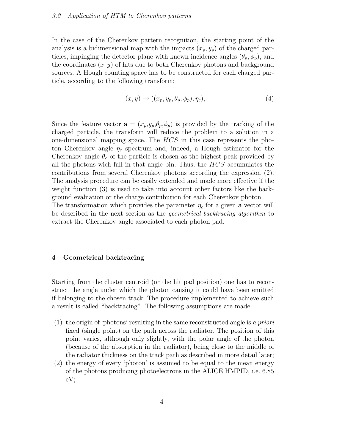#### 3.2 Application of HTM to Cherenkov patterns

In the case of the Cherenkov pattern recognition, the starting point of the analysis is a bidimensional map with the impacts  $(x_p, y_p)$  of the charged particles, impinging the detector plane with known incidence angles  $(\theta_p, \phi_p)$ , and the coordinates  $(x, y)$  of hits due to both Cherenkov photons and background sources. A Hough counting space has to be constructed for each charged particle, according to the following transform:

$$
(x, y) \rightarrow ((x_p, y_p, \theta_p, \phi_p), \eta_c), \tag{4}
$$

Since the feature vector  $\mathbf{a} = (x_p, y_p, \theta_p, \phi_p)$  is provided by the tracking of the charged particle, the transform will reduce the problem to a solution in a one-dimensional mapping space. The  $HCS$  in this case represents the photon Cherenkov angle  $\eta_c$  spectrum and, indeed, a Hough estimator for the Cherenkov angle  $\theta_c$  of the particle is chosen as the highest peak provided by all the photons wich fall in that angle bin. Thus, the  $HCS$  accumulates the contributions from several Cherenkov photons according the expression (2). The analysis procedure can be easily extended and made more effective if the weight function (3) is used to take into account other factors like the background evaluation or the charge contribution for each Cherenkov photon.

The transformation which provides the parameter  $\eta_c$  for a given **a** vector will be described in the next section as the geometrical backtracing algorithm to extract the Cherenkov angle associated to each photon pad.

#### **4 Geometrical backtracing**

Starting from the cluster centroid (or the hit pad position) one has to reconstruct the angle under which the photon causing it could have been emitted if belonging to the chosen track. The procedure implemented to achieve such a result is called "backtracing". The following assumptions are made:

- (1) the origin of 'photons' resulting in the same reconstructed angle is a priori fixed (single point) on the path across the radiator. The position of this point varies, although only slightly, with the polar angle of the photon (because of the absorption in the radiator), being close to the middle of the radiator thickness on the track path as described in more detail later;
- (2) the energy of every 'photon' is assumed to be equal to the mean energy of the photons producing photoelectrons in the ALICE HMPID, i.e. 6.85 eV;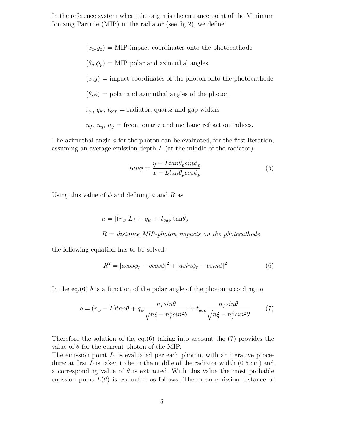In the reference system where the origin is the entrance point of the Minimum Ionizing Particle (MIP) in the radiator (see fig.2), we define:

> $(x_p,y_p) = \text{MIP}$  impact coordinates onto the photocathode  $(\theta_p, \phi_p) = \text{MIP}$  polar and azimuthal angles  $(x,y)$  = impact coordinates of the photon onto the photocathode  $(\theta, \phi)$  = polar and azimuthal angles of the photon  $r_w$ ,  $q_w$ ,  $t_{gap}$  = radiator, quartz and gap widths  $n_f$ ,  $n_q$ ,  $n_g$  = freon, quartz and methane refraction indices.

The azimuthal angle  $\phi$  for the photon can be evaluated, for the first iteration, assuming an average emission depth  $L$  (at the middle of the radiator):

$$
tan \phi = \frac{y - Ltan \theta_p sin \phi_p}{x - Ltan \theta_p cos \phi_p}
$$
(5)

Using this value of  $\phi$  and defining a and R as

$$
a = [(r_w - L) + q_w + t_{gap}] \tan \theta_p
$$
  

$$
R = distance MIP-photon \ impacts \ on \ the \ photocathode
$$

the following equation has to be solved:

$$
R^{2} = [acos\phi_{p} - bcos\phi]^{2} + [asin\phi_{p} - bsin\phi]^{2}
$$
\n(6)

In the eq.(6) b is a function of the polar angle of the photon according to

$$
b = (r_w - L)tan\theta + q_w \frac{n_f sin\theta}{\sqrt{n_q^2 - n_f^2 sin^2\theta}} + t_{gap} \frac{n_f sin\theta}{\sqrt{n_g^2 - n_f^2 sin^2\theta}}
$$
(7)

Therefore the solution of the eq.(6) taking into account the  $(7)$  provides the value of  $\theta$  for the current photon of the MIP.

The emission point  $L$ , is evaluated per each photon, with an iterative procedure: at first  $L$  is taken to be in the middle of the radiator width  $(0.5 \text{ cm})$  and a corresponding value of  $\theta$  is extracted. With this value the most probable emission point  $L(\theta)$  is evaluated as follows. The mean emission distance of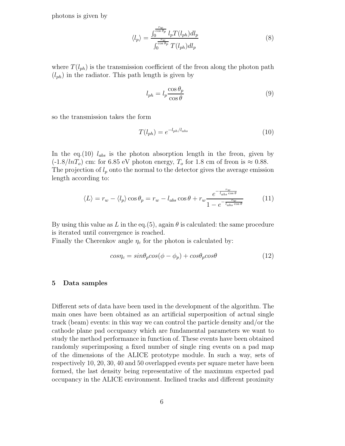photons is given by

$$
\langle l_p \rangle = \frac{\int_0^{\frac{rw}{\cos \theta_p}} l_p T(l_{ph}) dl_p}{\int_0^{\frac{rw}{\cos \theta_p}} T(l_{ph}) dl_p} \tag{8}
$$

where  $T(l_{ph})$  is the transmission coefficient of the freon along the photon path  $(l_{ph})$  in the radiator. This path length is given by

$$
l_{ph} = l_p \frac{\cos \theta_p}{\cos \theta} \tag{9}
$$

so the transmission takes the form

$$
T(l_{ph}) = e^{-l_{ph}/l_{abs}} \tag{10}
$$

In the eq.(10)  $l_{abs}$  is the photon absorption length in the freon, given by  $(-1.8/lnT<sub>o</sub>)$  cm: for 6.85 eV photon energy,  $T<sub>o</sub>$  for 1.8 cm of freon is  $\approx 0.88$ . The projection of  $l_p$  onto the normal to the detector gives the average emission length according to:

$$
\langle L \rangle = r_w - \langle l_p \rangle \cos \theta_p = r_w - l_{abs} \cos \theta + r_w \frac{e^{-\frac{rw}{l_{abs} \cos \theta}}}{1 - e^{-\frac{rw}{l_{abs} \cos \theta}}}
$$
(11)

By using this value as L in the eq.  $(5)$ , again  $\theta$  is calculated: the same procedure is iterated until convergence is reached.

Finally the Cherenkov angle  $\eta_c$  for the photon is calculated by:

$$
cos\eta_c = sin\theta_p cos(\phi - \phi_p) + cos\theta_p cos\theta
$$
 (12)

#### **5 Data samples**

Different sets of data have been used in the development of the algorithm. The main ones have been obtained as an artificial superposition of actual single track (beam) events: in this way we can control the particle density and/or the cathode plane pad occupancy which are fundamental parameters we want to study the method performance in function of. These events have been obtained randomly superimposing a fixed number of single ring events on a pad map of the dimensions of the ALICE prototype module. In such a way, sets of respectively 10, 20, 30, 40 and 50 overlapped events per square meter have been formed, the last density being representative of the maximum expected pad occupancy in the ALICE environment. Inclined tracks and different proximity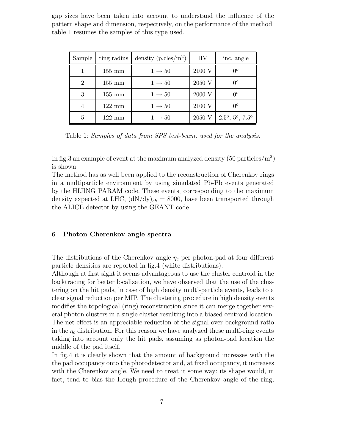gap sizes have been taken into account to understand the influence of the pattern shape and dimension, respectively, on the performance of the method: table 1 resumes the samples of this type used.

| Sample         | ring radius      | density $(p.\text{cles/m}^2)$ | HV     | inc. angle          |
|----------------|------------------|-------------------------------|--------|---------------------|
|                | $155 \text{ mm}$ | $1 \rightarrow 50$            | 2100 V | $0^o$               |
| $\overline{2}$ | $155 \text{ mm}$ | $1 \rightarrow 50$            | 2050 V | $0^o$               |
| 3              | $155 \text{ mm}$ | $1 \rightarrow 50$            | 2000 V | $0^o$               |
|                | $122 \text{ mm}$ | $1 \rightarrow 50$            | 2100 V | $0^o$               |
| 5              | $122 \text{ mm}$ | $1 \rightarrow 50$            | 2050 V | $2.5^o, 5^o, 7.5^o$ |

Table 1: Samples of data from SPS test-beam, used for the analysis.

In fig.3 an example of event at the maximum analyzed density  $(50 \text{ particles/m}^2)$ is shown.

The method has as well been applied to the reconstruction of Cherenkovrings in a multiparticle environment by using simulated Pb-Pb events generated by the HIJING PARAM code. These events, corresponding to the maximum density expected at LHC,  $(dN/dy)_{ch} = 8000$ , have been transported through the ALICE detector by using the GEANT code.

# **6 Photon Cherenkov angle spectra**

The distributions of the Cherenkov angle  $\eta_c$  per photon-pad at four different particle densities are reported in fig.4 (white distributions).

Although at first sight it seems advantageous to use the cluster centroid in the backtracing for better localization, we have observed that the use of the clustering on the hit pads, in case of high density multi-particle events, leads to a clear signal reduction per MIP. The clustering procedure in high density events modifies the topological (ring) reconstruction since it can merge together several photon clusters in a single cluster resulting into a biased centroid location. The net effect is an appreciable reduction of the signal over background ratio in the  $\eta_c$  distribution. For this reason we have analyzed these multi-ring events taking into account only the hit pads, assuming as photon-pad location the middle of the pad itself.

In fig.4 it is clearly shown that the amount of background increases with the the pad occupancy onto the photodetector and, at fixed occupancy, it increases with the Cherenkov angle. We need to treat it some way: its shape would, in fact, tend to bias the Hough procedure of the Cherenkovangle of the ring,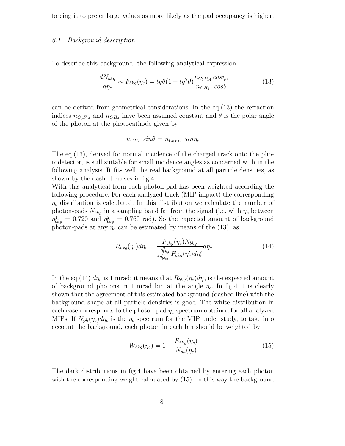forcing it to prefer large values as more likely as the pad occupancy is higher.

#### 6.1 Background description

To describe this background, the following analytical expression

$$
\frac{dN_{bkg}}{d\eta_c} \sim F_{bkg}(\eta_c) = tg\theta(1 + tg^2\theta) \frac{n_{C_6F_{14}}}{n_{CH_4}} \frac{cos\eta_c}{cos\theta}
$$
(13)

can be derived from geometrical considerations. In the eq.(13) the refraction indices  $n_{C_6F_{14}}$  and  $n_{CH_4}$  have been assumed constant and  $\theta$  is the polar angle of the photon at the photocathode given by

$$
n_{CH_4} \, sin\theta = n_{C_6F_{14}} \, sin\eta_c
$$

The eq.(13), derived for normal incidence of the charged track onto the photodetector, is still suitable for small incidence angles as concerned with in the following analysis. It fits well the real background at all particle densities, as shown by the dashed curves in fig.4.

With this analytical form each photon-pad has been weighted according the following procedure. For each analyzed track (MIP impact) the corresponding  $\eta_c$  distribution is calculated. In this distribution we calculate the number of photon-pads  $N_{bkg}$  in a sampling band far from the signal (i.e. with  $\eta_c$  between  $\eta_{bkg}^1 = 0.720$  and  $\eta_{bkg}^2 = 0.760$  rad). So the expected amount of background photon-pads at any  $\eta_c$  can be estimated by means of the (13), as

$$
R_{bkg}(\eta_c)d\eta_c = \frac{F_{bkg}(\eta_c)N_{bkg}}{\int_{\eta_{bkg}^{1}}^{\eta_{bkg}^{2}} F_{bkg}(\eta_c')d\eta_c'}d\eta_c
$$
\n(14)

In the eq.(14)  $d\eta_c$  is 1 mrad: it means that  $R_{bkg}(\eta_c)d\eta_c$  is the expected amount of background photons in 1 mrad bin at the angle  $\eta_c$ . In fig.4 it is clearly shown that the agreement of this estimated background (dashed line) with the background shape at all particle densities is good. The white distribution in each case corresponds to the photon-pad  $\eta_c$  spectrum obtained for all analyzed MIPs. If  $N_{ph}(\eta_c)d\eta_c$  is the  $\eta_c$  spectrum for the MIP under study, to take into account the background, each photon in each bin should be weighted by

$$
W_{bkg}(\eta_c) = 1 - \frac{R_{bkg}(\eta_c)}{N_{ph}(\eta_c)}\tag{15}
$$

The dark distributions in fig.4 have been obtained by entering each photon with the corresponding weight calculated by (15). In this way the background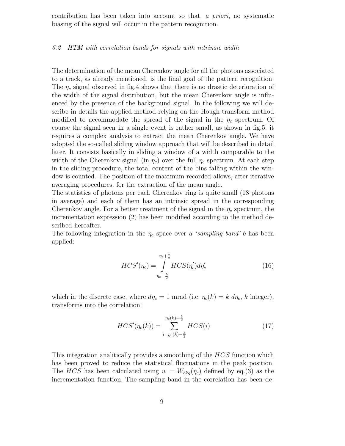contribution has been taken into account so that, a priori, no systematic biasing of the signal will occur in the pattern recognition.

#### 6.2 HTM with correlation bands for signals with intrinsic width

The determination of the mean Cherenkovangle for all the photons associated to a track, as already mentioned, is the final goal of the pattern recognition. The  $\eta_c$  signal observed in fig.4 shows that there is no drastic deterioration of the width of the signal distribution, but the mean Cherenkovangle is influenced by the presence of the background signal. In the following we will describe in details the applied method relying on the Hough transform method modified to accommodate the spread of the signal in the  $\eta_c$  spectrum. Of course the signal seen in a single event is rather small, as shown in fig.5: it requires a complex analysis to extract the mean Cherenkovangle. We have adopted the so-called sliding window approach that will be described in detail later. It consists basically in sliding a window of a width comparable to the width of the Cherenkov signal (in  $\eta_c$ ) over the full  $\eta_c$  spectrum. At each step in the sliding procedure, the total content of the bins falling within the window is counted. The position of the maximum recorded allows, after iterative averaging procedures, for the extraction of the mean angle.

The statistics of photons per each Cherenkov ring is quite small (18 photons in average) and each of them has an intrinsic spread in the corresponding Cherenkov angle. For a better treatment of the signal in the  $\eta_c$  spectrum, the incrementation expression (2) has been modified according to the method described hereafter.

The following integration in the  $\eta_c$  space over a *'sampling band' b* has been applied:

$$
HCS'(\eta_c) = \int_{\eta_c - \frac{b}{2}}^{\eta_c + \frac{b}{2}} HCS(\eta_c') d\eta_c' \tag{16}
$$

which in the discrete case, where  $d\eta_c = 1$  mrad (i.e.  $\eta_c(k) = k \, d\eta_c$ , k integer), transforms into the correlation:

$$
HCS'(\eta_c(k)) = \sum_{i=\eta_c(k)-\frac{b}{2}}^{\eta_c(k)+\frac{b}{2}} HCS(i)
$$
 (17)

This integration analitically provides a smoothing of the HCS function which has been proved to reduce the statistical fluctuations in the peak position. The HCS has been calculated using  $w = W_{bkg}(\eta_c)$  defined by eq.(3) as the incrementation function. The sampling band in the correlation has been de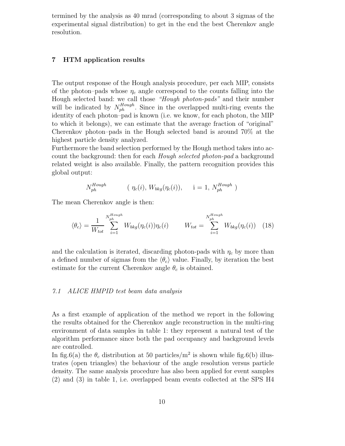termined by the analysis as 40 mrad (corresponding to about 3 sigmas of the experimental signal distribution) to get in the end the best Cherenkov angle resolution.

# **7 HTM application results**

The output response of the Hough analysis procedure, per each MIP, consists of the photon–pads whose  $\eta_c$  angle correspond to the counts falling into the Hough selected band: we call those "Hough photon-pads" and their number will be indicated by  $N_{ph}^{Hough}$ . Since in the overlapped multi-ring events the identity of each photon–pad is known (i.e. we know, for each photon, the MIP to which it belongs), we can estimate that the average fraction of "original" Cherenkov photon–pads in the Hough selected band is around  $70\%$  at the highest particle density analyzed.

Furthermore the band selection performed by the Hough method takes into account the background: then for each *Hough selected photon-pad* a background related weight is also available. Finally, the pattern recognition provides this global output:

$$
N_{ph}^{Hough} \qquad (\eta_c(i), W_{bkg}(\eta_c(i)), \qquad i = 1, N_{ph}^{Hough})
$$

The mean Cherenkov angle is then:

$$
\langle \theta_c \rangle = \frac{1}{W_{tot}} \sum_{i=1}^{N_{ph}^{Hough}} W_{bkg}(\eta_c(i)) \eta_c(i) \qquad W_{tot} = \sum_{i=1}^{N_{ph}^{Hough}} W_{bkg}(\eta_c(i)) \quad (18)
$$

and the calculation is iterated, discarding photon-pads with  $\eta_c$  by more than a defined number of sigmas from the  $\langle \theta_c \rangle$  value. Finally, by iteration the best estimate for the current Cherenkov angle  $\theta_c$  is obtained.

# 7.1 ALICE HMPID test beam data analysis

As a first example of application of the method we report in the following the results obtained for the Cherenkovangle reconstruction in the multi-ring environment of data samples in table 1: they represent a natural test of the algorithm performance since both the pad occupancy and background levels are controlled.

In fig.6(a) the  $\theta_c$  distribution at 50 particles/m<sup>2</sup> is shown while fig.6(b) illustrates (open triangles) the behaviour of the angle resolution versus particle density. The same analysis procedure has also been applied for event samples (2) and (3) in table 1, i.e. overlapped beam events collected at the SPS H4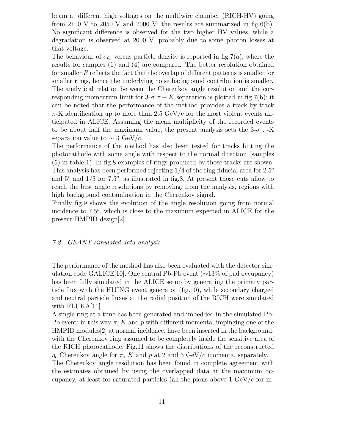beam at different high voltages on the multiwire chamber (RICH-HV) going from 2100 V to 2050 V and 2000 V: the results are summarized in fig.6(b). No significant difference is observed for the two higher HV values, while a degradation is observed at 2000 V, probably due to some photon losses at that voltage.

The behaviour of  $\sigma_{\theta_c}$  versus particle density is reported in fig.7(a), where the results for samples (1) and (4) are compared. The better resolution obtained for smaller R reflects the fact that the overlap of different patterns is smaller for smaller rings, hence the underlying noise background contribution is smaller. The analytical relation between the Cherenkovangle resolution and the corresponding momentum limit for  $3-\sigma \pi - K$  separation is plotted in fig.7(b): it can be noted that the performance of the method provides a track by track  $\pi$ -K identification up to more than 2.5 GeV/c for the most violent events anticipated in ALICE. Assuming the mean multiplicity of the recorded events to be about half the maximum value, the present analysis sets the  $3-\sigma \pi$ -K separation value to  $\sim 3 \text{ GeV}/c$ .

The performance of the method has also been tested for tracks hitting the photocathode with some angle with respect to the normal direction (samples (5) in table 1). In fig.8 examples of rings produced by those tracks are shown. This analysis has been performed rejecting  $1/4$  of the ring fiducial area for  $2.5^{\circ}$ and  $5^{\circ}$  and  $1/3$  for  $7.5^{\circ}$ , as illustrated in fig.8. At present those cuts allow to reach the best angle resolutions by removing, from the analysis, regions with high background contamination in the Cherenkov signal.

Finally fig.9 shows the evolution of the angle resolution going from normal incidence to  $7.5^{\circ}$ , which is close to the maximum expected in ALICE for the present HMPID design[2].

#### $7.2$  GEANT simulated data analysis

The performance of the method has also been evaluated with the detector simulation code GALICE[10]. One central Pb-Pb event (∼13% of pad occupancy) has been fully simulated in the ALICE setup by generating the primary particle flux with the HIJING event generator (fig.10), while secondary charged and neutral particle fluxes at the radial position of the RICH were simulated with FLUKA[11].

A single ring at a time has been generated and imbedded in the simulated Pb-Pb event: in this way  $\pi$ , K and p with different momenta, impinging one of the HMPID modules[2] at normal incidence, have been inserted in the background, with the Cherenkov ring assumed to be completely inside the sensitive area of the RICH photocathode. Fig.11 shows the distributions of the reconstructed  $\eta_c$  Cherenkov angle for  $\pi$ , K and p at 2 and 3 GeV/c momenta, separately.

The Cherenkov angle resolution has been found in complete agreement with the estimates obtained by using the overlapped data at the maximum occupancy, at least for saturated particles (all the pions above  $1 \text{ GeV}/c$  for in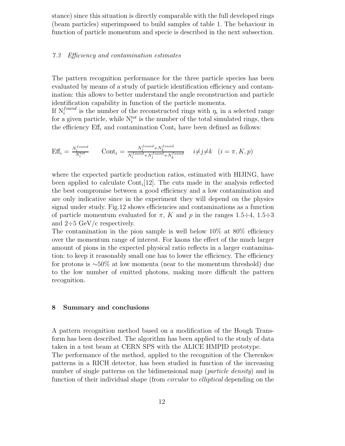stance) since this situation is directly comparable with the full developed rings (beam particles) superimposed to build samples of table 1. The behaviour in function of particle momentum and specie is described in the next subsection.

# 7.3 Efficiency and contamination estimates

The pattern recognition performance for the three particle species has been evaluated by means of a study of particle identification efficiency and contamination: this allows to better understand the angle reconstruction and particle identification capability in function of the particle momenta.

If  $N_i^{found}$  is the number of the reconstructed rings with  $\eta_c$  in a selected range for a given particle, while  $N_i^{tot}$  is the number of the total simulated rings, then the efficiency  $\mathrm{Eff}_i$  and contamination Cont<sub>i</sub> have been defined as follows:

$$
Eff_i = \frac{N_i^{found}}{N_i^{tot}} \qquad Cont_i = \frac{N_i^{found} + N_k^{found}}{N_i^{found} + N_j^{found} + N_k^{found}} \qquad i \neq j \neq k \quad (i = \pi, K, p)
$$

where the expected particle production ratios, estimated with HIJING, have been applied to calculate  $\text{Cont}_{i}[12]$ . The cuts made in the analysis reflected the best compromise between a good efficiency and a low contamination and are only indicative since in the experiment they will depend on the physics signal under study. Fig.12 shows efficiencies and contaminations as a function of particle momentum evaluated for  $\pi$ , K and p in the ranges 1.5÷4, 1.5÷3 and  $2\div 5$  GeV/c respectively.

The contamination in the pion sample is well below  $10\%$  at  $80\%$  efficiency over the momentum range of interest. For kaons the effect of the much larger amount of pions in the expected physical ratio reflects in a larger contamination: to keep it reasonably small one has to lower the efficiency. The efficiency for protons is ∼50% at low momenta (near to the momentum threshold) due to the low number of emitted photons, making more difficult the pattern recognition.

#### **8 Summary and conclusions**

A pattern recognition method based on a modification of the Hough Transform has been described. The algorithm has been applied to the study of data taken in a test beam at CERN SPS with the ALICE HMPID prototype. The performance of the method, applied to the recognition of the Cherenkov patterns in a RICH detector, has been studied in function of the increasing number of single patterns on the bidimensional map (*particle density*) and in function of their individual shape (from *circular* to *elliptical* depending on the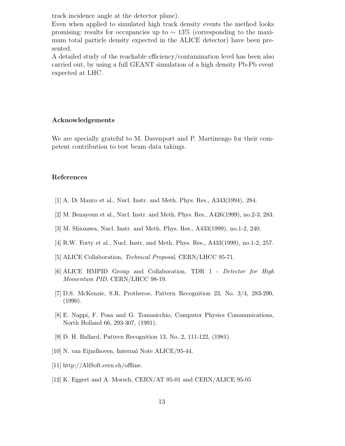track incidence angle at the detector plane).

Even when applied to simulated high track density events the method looks promising: results for occupancies up to  $\sim 13\%$  (corresponding to the maximum total particle density expected in the ALICE detector) have been presented.

A detailed study of the reachable efficiency/contamination level has been also carried out, by using a full GEANT simulation of a high density Pb-Pb event expected at LHC.

# **Acknowledgements**

We are specially grateful to M. Davenport and P. Martinengo for their competent contribution to test beam data takings.

## **References**

- [1] A. Di Mauro et al., Nucl. Instr. and Meth. Phys. Res., A343(1994), 284.
- [2] M. Benayoun et al., Nucl. Instr. and Meth. Phys. Res., A426(1999), no.2-3, 283.
- [3] M. Shiozawa, Nucl. Instr. and Meth. Phys. Res., A433(1999), no.1-2, 240.
- [4] R.W. Forty et al., Nucl. Instr. and Meth. Phys. Res., A433(1999), no.1-2, 257.
- [5] ALICE Collaboration, *Technical Proposal*, CERN/LHCC 95-71.
- [6] ALICE HMPID Group and Collaboration, TDR 1 *Detector for High Momentum PID*, CERN/LHCC 98-19.
- [7] D.S. McKenzie, S.R. Protheroe, Pattern Recognition 23, No. 3/4, 283-290, (1990).
- [8] E. Nappi, F. Posa and G. Tomasicchio, Computer Physics Communications, North Holland 66, 293-307, (1991).
- [9] D. H. Ballard, Pattern Recognition 13, No. 2, 111-122, (1981).
- [10] N. van Eijndhoven, Internal Note ALICE/95-44.
- [11] http://AliSoft.cern.ch/offline.
- [12] K. Eggert and A. Morsch, CERN/AT 95-01 and CERN/ALICE 95-05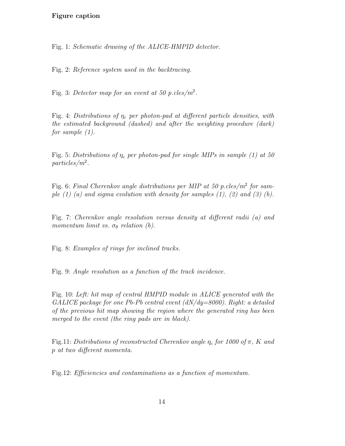# **Figure caption**

Fig. 1: Schematic drawing of the ALICE-HMPID detector.

Fig. 2: Reference system used in the backtracing.

Fig. 3: Detector map for an event at 50 p.cles/ $m^2$ .

Fig. 4: Distributions of  $\eta_c$  per photon-pad at different particle densities, with the estimated background (dashed) and after the weighting procedure (dark) for sample (1).

Fig. 5: Distributions of  $\eta_c$  per photon-pad for single MIPs in sample (1) at 50 particles/m<sup>2</sup>.

Fig. 6: Final Cherenkov angle distributions per MIP at 50 p.cles/ $m^2$  for sample  $(1)$   $(a)$  and sigma evolution with density for samples  $(1)$ ,  $(2)$  and  $(3)$   $(b)$ .

Fig. 7: Cherenkov angle resolution versus density at different radii (a) and momentum limit vs.  $\sigma_{\theta}$  relation (b).

Fig. 8: Examples of rings for inclined tracks.

Fig. 9: Angle resolution as a function of the track incidence.

Fig. 10: Left: hit map of central HMPID module in ALICE generated with the GALICE package for one Pb-Pb central event  $(dN/dy=8000)$ . Right: a detailed of the previous hit map showing the region where the generated ring has been merged to the event (the ring pads are in black).

Fig.11: Distributions of reconstructed Cherenkov angle  $\eta_c$  for 1000 of  $\pi$ , K and p at two different momenta.

Fig.12: Efficiencies and contaminations as a function of momentum.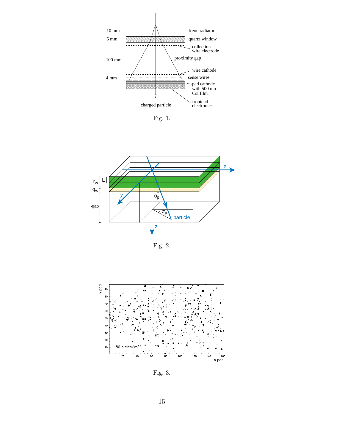

Fig. 1.



Fig. 2.



Fig. 3.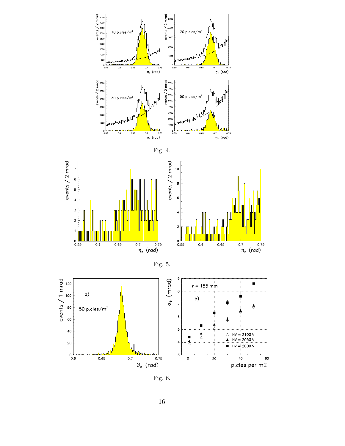



Fig. 6.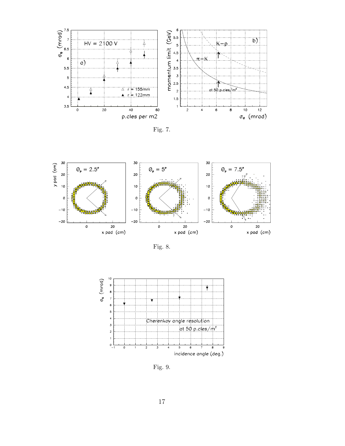





Fig. 8.



Fig. 9.